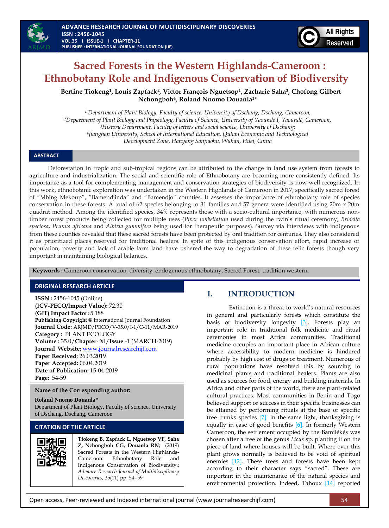

# **Sacred Forests in the Western Highlands-Cameroon : Ethnobotany Role and Indigenous Conservation of Biodiversity**

**Bertine Tiokeng<sup>1</sup> , Louis Zapfack<sup>2</sup> , Victor François Nguetsop<sup>1</sup> , Zacharie Saha<sup>3</sup> , Chofong Gilbert Nchongboh<sup>4</sup> , Roland Nnomo Douanla1\***

 *Department of Plant Biology, Faculty of science, University of Dschang, Dschang, Cameroon, Department of Plant Biology and Physiology, Faculty of Science, University of Yaoundé I, Yaoundé, Cameroon, History Department, Faculty of letters and social science, University of Dschang; Jianghan University, School of International Education, Quhan Economic and Technological Development Zone, Hanyang Sanjiaohu, Wuhan, Huei, China*

# **ABSTRACT**

Deforestation in tropic and sub-tropical regions can be attributed to the change in land use system from forests to agriculture and industrialization. The social and scientific role of Ethnobotany are becoming more consistently defined. Its importance as a tool for complementing management and conservation strategies of biodiversity is now well recognized. In this work, ethnobotanic exploration was undertaken in the Western Highlands of Cameroon in 2017, specifically sacred forest of "Mbing Mekoup", "Bamendjinda" and "Bamendjo" counties. It assesses the importance of ethnobotany role of species conservation in these forests. A total of 62 species belonging to 31 families and 57 genera were identified using 20m x 20m quadrat method. Among the identified species, 34% represents those with a socio-cultural importance, with numerous nontimber forest products being collected for multiple uses (*Piper umbellatum* used during the twin's ritual ceremony, *Bridelia speciosa*, *Prunus africana* and *Albizia gummifera* being used for therapeutic purposes). Survey via interviews with indigenous from these counties revealed that these sacred forests have been protected by oral tradition for centuries. They also considered it as prioritized places reserved for traditional healers. In spite of this indigenous conservation effort, rapid increase of population, poverty and lack of arable farm land have ushered the way to degradation of these relic forests though very important in maintaining biological balances.

**Keywords :** Cameroon conservation, diversity, endogenous ethnobotany, Sacred Forest, tradition western.

# **ORIGINAL RESEARCH ARTICLE**

**ISSN :** 2456-1045 (Online) **(ICV-PECO/Impact Value):** 72.30 **(GIF) Impact Factor:** 5.188 **Publishing Copyright @** International Journal Foundation **Journal Code:** ARJMD/PECO/V-35.0/I-1/C-11/MAR-2019 **Category :** PLANT ECOLOGY **Volume :** 35.0/**Chapter**- XI/**Issue** -1 (MARCH-2019) **Journal Website:** [www.journalresearchijf.com](http://www.journalresearchijf.com/) **Paper Received:** 26.03.2019 **Paper Accepted:** 06.04.2019 **Date of Publication:** 15-04-2019 **Page:** 54-59

#### **Name of the Corresponding author:**

#### **Roland Nnomo Douanla\***

Department of Plant Biology, Faculty of science, University of Dschang, Dschang, Cameroon

# **CITATION OF THE ARTICLE**



**Tiokeng B, Zapfack L, Nguetsop VF, Saha Z, Nchongboh CG, Douanla RN;** (2019) Sacred Forests in the Western Highlands-Cameroon: Ethnobotany Role and Indigenous Conservation of Biodiversity.; *Advance Research Journal of Multidisciplinary Discoveries;* 35(11) pp. 54- 59

# **I. INTRODUCTION**

Extinction is a threat to world's natural resources in general and particularly forests which constitute the basis of biodiversity longevity [\[3\].](#page-5-0) Forests play an important role in traditional folk medicine and ritual ceremonies in most Africa communities. Traditional medicine occupies an important place in African culture where accessibility to modern medicine is hindered probably by high cost of drugs or treatment. Numerous of rural populations have resolved this by sourcing to medicinal plants and traditional healers. Plants are also used as sources for food, energy and building materials. In Africa and other parts of the world, there are plant-related cultural practices. Most communities in Benin and Togo believed support or success in their specific businesses can be attained by performing rituals at the base of specific tree trunks species [\[7\].](#page-5-1) In the same light, thanksgiving is equally in case of good benefits **[\[6\]](#page-5-2)**. In formerly Western Cameroon, the settlement occupied by the Bamilékés was chosen after a tree of the genus *Ficus* sp. planting it on the piece of land where houses will be built. Where ever this plant grows normally is believed to be void of spiritual enemies [\[12\].](#page-5-3) These trees and forests have been kept according to their character says "sacred". These are important in the maintenance of the natural species and environmental protection. Indeed, Tahoux [\[14\]](#page-5-4) reported

Open access, Peer-reviewed and Indexed international journal (www.journalresearchijf.com) 54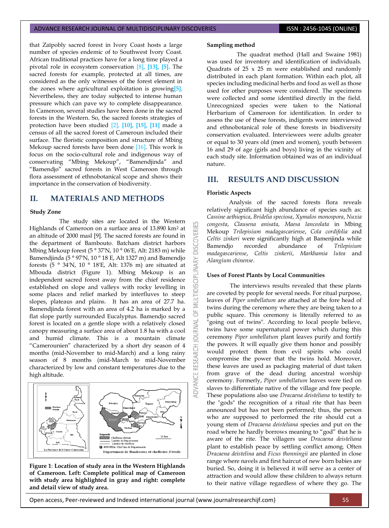that Zaïpobly sacred forest in Ivory Coast hosts a large number of species endemic of to Southwest Ivory Coast. African traditional practices have for a long time played a pivotal role in ecosystem conservation [\[8\]](#page-5-5)**, [\[13\],](#page-5-6) [\[5\]](#page-5-7)**. The sacred forests for example, protected at all times, are considered as the only witnesses of the forest element in the zones where agricultural exploitation is growing**[\[5\]](#page-5-7)**. Nevertheless, they are today subjected to intense human pressure which can pave wy to complete disappearance. In Cameroon, several studies have been done in the sacred forests in the Western. So, the sacred forests strategies of protection have been studied [\[2\],](#page-4-0) **[\[10\],](#page-5-8) [\[15\],](#page-5-9) [\[11\]](#page-5-10)** made a census of all the sacred forest of Cameroun included their surface. The floristic composition and structure of Mbing Mekoup sacred forests have been done [\[16\].](#page-5-11) This work is focus on the socio-cultural role and indigenous way of conservating "Mbing Mekoup", "Bamendjinda" and "Bamendjo" sacred forests in West Cameroon through flora assessment of ethnobotanical scope and shows their importance in the conservation of biodiversity.

# **II. MATERIALS AND METHODS**

#### **Study Zone**

The study sites are located in the Western Highlands of Cameroon on a surface area of 13.890 km<sup>2</sup> at an altitude of 2000 masl [\[9\].](#page-5-12) The sacred forests are found in the department of Bambouto. Batcham district harbors Mbing Mekoup forest (5 ° 37'N, 10 ° 06'E, Alt: 2183 m) while Bamendjinda (5 ° 97'N, 10 ° 18 E, Alt 1327 m) and Bamendjo forests (5 ° 34'N, 10 ° 18'E, Alt: 1376 m) are situated at Mbouda district (Figure 1). Mbing Mekoup is an independent sacred forest away from the chief residence established on slope and valleys with rocky levelling in some places and relief marked by interfluves to steep slopes, plateaus and plains. It has an area of 27.7 ha. Bamendjinda forest with an area of 4.2 ha is marked by a flat slope partly surrounded Eucalyptus. Bamendjo sacred forest is located on a gentle slope with a relatively closed canopy measuring a surface area of about 1.8 ha with a cool and humid climate. This is a mountain climate "Camerounien" characterized by a short dry season of 4 months (mid-November to mid-March) and a long rainy season of 8 months (mid-March to mid-November characterized by low and constant temperatures due to the high altitude.



**Figure 1**: **Location of study area in the Western Highlands of Cameroon. Left: Complete political map of Cameroon with study area highlighted in gray and right: complete and detail view of study area.** 

#### **Sampling method**

The quadrat method (Hall and Swaine 1981) was used for inventory and identification of individuals. Quadrats of  $25 \times 25$  m were established and randomly distributed in each plant formation. Within each plot, all species including medicinal herbs and food as well as those used for other purposes were considered. The specimens were collected and some identified directly in the field. Unrecognized species were taken to the National Herbarium of Cameroon for identification. In order to assess the use of these forests, indigents were interviewed and ethnobotanical role of these forests in biodiversity conservation evaluated. Interviewees were adults greater or equal to 30 years old (men and women), youth between 16 and 29 of age (girls and boys) living in the vicinity of each study site. Information obtained was of an individual nature.

# **III. RESULTS AND DISCUSSION**

### **Floristic Aspects**

**DISCOV** 

INARY

**MULTIDISCIPLI** 

5 RNAL 3

Analysis of the sacred forests flora reveals relatively significant high abundance of species such as: *Cassine aethiopica*, *Bridelia speciosa*, *Xymalos monospora*, *Nuxia congesta*, *Clausena anisata*, *Maesa lanceolata* in Mbing Mekoup *Trilepisium madagascariense*, *Cola cordifolia* and *Celtis zinkeri* were significantly high at Bamenjinda while Bamendjo recorded abundance of *Trilepisium madagascariense*, *Celtis zinkerii*, *Markhamia lutea* and *Alangium chinense*.

# **Uses of Forest Plants by Local Communities**

The interviews results revealed that these plants are coveted by people for several needs. For ritual purpose, leaves of *Piper umbellatum* are attached at the fore head of twins during the ceremony where they are being taken to a public square. This ceremony is literally referred to as "going out of twins". According to local people believe, twins have some supernatural power which during this ceremony *Piper umbellatum* plant leaves purify and fortify the powers. It will equally give them honor and possibly would protect them from evil spirits who could compromise the power that the twins hold. Moreover, these leaves are used as packaging material of dust taken from grave of the dead during ancestral worship ceremony. Formerly, *Piper umbellatum* leaves were tied on slaves to differentiate native of the village and free people. These populations also use *Dracaena deisteliana* to testify to the "gods" the recognition of a ritual rite that has been announced but has not been performed; thus, the person who are supposed to performed the rite should cut a young stem of *Dracaena deisteliana* species and put on the road where he hardly borrows meaning to "god" that he is aware of the rite. The villagers use *Dracaena deisteliana* plant to establish peace by settling conflict among. Often *Dracaena deistelina* and *Ficus thonningii* are planted in close range where navels and first haircut of new born babies are buried. So, doing it is believed it will serve as a center of attraction and would allow these children to always return to their native village regardless of where they go. The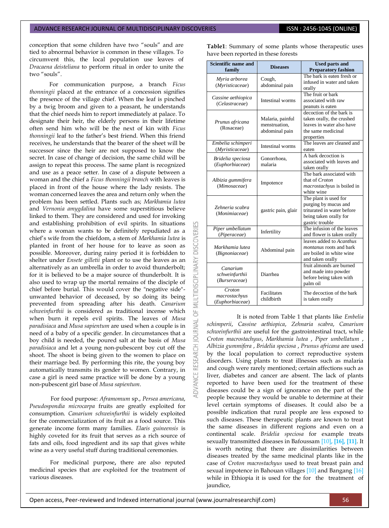conception that some children have two "souls" and are tied to abnormal behavior is common in these villages. To circumvent this, the local population use leaves of *Dracaena deisteliana* to perform ritual in order to unite the two "souls".

For communication purpose, a branch *Ficus thonningii* placed at the entrance of a concession signifies the presence of the village chief. When the leaf is pinched by a twig broom and given to a peasant, he understands that the chief needs him to report immediately at palace. To designate their heir, the elderly persons in their lifetime often send him who will be the next of kin with *Ficus thonningii* leaf to the father's best friend. When this friend receives, he understands that the bearer of the sheet will be successor since the heir are not supposed to know the secret. In case of change of decision, the same child will be assign to repeat this process. The same plant is recognized and use as a peace setter. In case of a dispute between a woman and the chief a *Ficus thonningii branch* with leaves is placed in front of the house where the lady resists. The woman concerned leaves the area and return only when the problem has been settled. Plants such as; *Markhamia lutea* and *Vernonia amygdalina* have some superstitious believe linked to them*.* They are considered and used for invoking and establishing prohibition of evil spirits. In situations where a woman wants to be definitely repudiated as a chief's wife from the chiefdom, a stem of *Markhamia lutea* is planted in front of her house for to leave as soon as possible. Moreover, during rainy period it is forbidden to shelter under *Ensete gilletii* plant or to use the leaves as an alternatively as an umbrella in order to avoid thunderbolt; for it is believed to be a major source of thunderbolt. It is also used to wrap up the mortal remains of the disciple of chief before burial. This would cover the "negative side" unwanted behavior of deceased, by so doing its being prevented from spreading after his death. *Canarium schweinfurthii* is considered as traditional incense which when burn it repels evil spirits. The leaves of *Musa paradisiaca* and *Musa sapientum* are used when a couple is in need of a baby of a specific gender. In circumstances that a boy child is needed, the poured salt at the basis of *Musa paradisiaca* and let a young non-pubescent boy cut off the shoot. The shoot is being given to the women to place on their marriage bed. By performing this rite, the young boy automatically transmits its gender to women. Contrary, in case a girl is need same practice will be done by a young non-pubescent girl base of *Musa sapientum*.

**DISCOVERI** 

5

5

For food purpose: *Aframomum* sp., *Persea americana*, *Pseudospondia microcarpa* fruits are greatly exploited for consumption. *Canarium schweinfurthii* is widely exploited for the commercialization of its fruit as a food source. This generate income form many families. *Elaeis guineensis* is highly coveted for its fruit that serves as a rich source of fats and oils, food ingredient and its sap that gives white wine as a very useful stuff during traditional ceremonies.

For medicinal purpose**,** there are also reputed medicinal species that are exploited for the treatment of various diseases.

**Table1**: Summary of some plants whose therapeutic uses have been reported in these forests

| <b>Scientific name and</b><br>family        | <b>Diseases</b>                                     | <b>Used parts and</b><br><b>Preparatory fashion</b>                                                                      |  |  |  |
|---------------------------------------------|-----------------------------------------------------|--------------------------------------------------------------------------------------------------------------------------|--|--|--|
| Myria arborea<br>(Myristicaceae)            | Cough,<br>abdominal pain                            | The bark is eaten fresh or<br>infused in water and taken<br>orally                                                       |  |  |  |
| Cassine aethiopica<br>(Celastraceae)        | Intestinal worms                                    | The fruit or bark<br>associated with raw<br>peanuts is eaten                                                             |  |  |  |
| Prunus africana<br>(Rosaceae)               | Malaria, painful<br>menstruation.<br>abdominal pain | decoction of the bark is<br>taken orally, the crushed<br>leaves in water also have<br>the same medicinal<br>properties   |  |  |  |
| Embelia schimperi<br>(Myristicaceae)        | Intestinal worms                                    | The leaves are cleaned and<br>eaten                                                                                      |  |  |  |
| Bridelia speciosa<br>(Euphorbiaceae)        | Gonorrhoea,<br>malaria                              | A bark decoction is<br>associated with leaves and<br>taken orally                                                        |  |  |  |
| Albizia gummifera<br>(Mimosaceae)           | Impotence                                           | The bark associated with<br>that of Croton<br>macrostachyus is boiled in<br>white wine                                   |  |  |  |
| Zehneria scabra<br>(Monimiaceae)            | gastric pain, glair                                 | The plant is used for<br>purging by mucus and<br>triturated in water before<br>being taken orally for<br>gastric trouble |  |  |  |
| Piper umbellatum<br>(Piperaceae)            | Infertility                                         | The infusion of the leaves<br>and flower is taken orally                                                                 |  |  |  |
| Markhamia lutea<br>(Bignoniaceae)           | Abdominal pain                                      | leaves added to Acanthus<br><i>montanus</i> roots and bark<br>are boiled in white wine<br>and taken orally               |  |  |  |
| Canarium<br>schweinfurthii<br>(Burseraceae) | Diarrhea                                            | fruit almonds are burned<br>and made into powder<br>before being taken with<br>palm oil                                  |  |  |  |
| Croton<br>macrostachyus<br>(Euphorbiaceae)  | Facilitates<br>childbirth                           | The decoction of the bark<br>is taken orally                                                                             |  |  |  |

It is noted from Table 1 that plants like *Embelia schimperii*, *Cassine aethiopica*, *Zehnaria scabra*, *Canarium schweinfurthii* are useful for the gastrointestinal tract, while *Croton macrostachyus*, *Markhamia lutea* , *Piper umbellatum* , *Albizia gummifera* , *Bridelia speciosa* , *Prunus africana* are used by the local population to correct reproductive system disorders. Using plants to treat illnesses such as malaria and cough were rarely mentioned; certain affections such as liver, diabetes and cancer are absent. The lack of plants reported to have been used for the treatment of these diseases could be a sign of ignorance on the part of the people because they would be unable to determine at their level certain symptoms of diseases. It could also be a possible indication that rural people are less exposed to such diseases. These therapeutic plants are known to treat the same diseases in different regions and even on a continental scale. *Bridelia speciosa* for example treats sexually transmitted diseases in Bafoussa[m \[10\]](#page-5-8)**[, \[16\],](#page-5-11) [\[11\]](#page-5-10)**. It is worth noting that there are dissimilarities between diseases treated by the same medicinal plants like in the case of *Croton macrostachyus* used to treat breast pain and sexual impotence in Bahouan village[s \[10\]](#page-5-8) and Bangang [\[16\]](#page-5-11) while in Ethiopia it is used for the for the treatment of jaundice,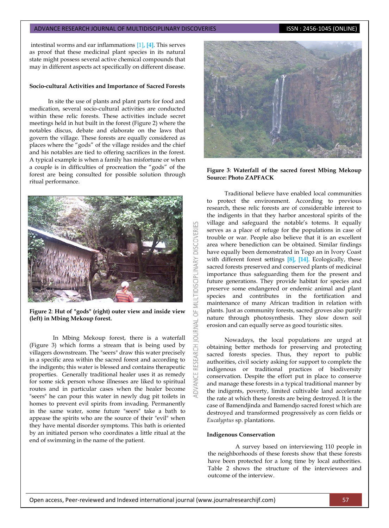#### ADVANCE RESEARCH JOURNAL OF MULTIDISCIPLINARY DISCOVERIES **ISSN : 2456-1045 (ONLINE)**

intestinal worms and ear inflammations [\[1\]](#page-4-1)**, [\[4\]](#page-5-13)**. This serves as proof that these medicinal plant species in its natural state might possess several active chemical compounds that may in different aspects act specifically on different disease.

#### **Socio-cultural Activities and Importance of Sacred Forests**

In site the use of plants and plant parts for food and medication, several socio-cultural activities are conducted within these relic forests. These activities include secret meetings held in hut built in the forest (Figure 2) where the notables discus, debate and elaborate on the laws that govern the village. These forests are equally considered as places where the "gods" of the village resides and the chief and his notables are tied to offering sacrifices in the forest. A typical example is when a family has misfortune or when a couple is in difficulties of procreation the "gods" of the forest are being consulted for possible solution through ritual performance.



**Figure 2**: **Hut of "gods" (right) outer view and inside view (left) in Mbing Mekoup forest.** 

In Mbing Mekoup forest, there is a waterfall (Figure 3) which forms a stream that is being used by villagers downstream. The "seers" draw this water precisely in a specific area within the sacred forest and according to the indigents; this water is blessed and contains therapeutic properties. Generally traditional healer uses it as remedy for some sick person whose illnesses are liked to spiritual routes and in particular cases when the healer become "seers" he can pour this water in newly dug pit toilets in homes to prevent evil spirits from invading. Permanently in the same water, some future "seers" take a bath to appease the spirits who are the source of their "evil" when they have mental disorder symptoms. This bath is oriented by an initiated person who coordinates a little ritual at the end of swimming in the name of the patient.



### **Figure 3**: **Waterfall of the sacred forest Mbing Mekoup Source: Photo ZAPFACK**

Traditional believe have enabled local communities to protect the environment. According to previous research, these relic forests are of considerable interest to the indigents in that they harbor ancestoral spirits of the village and safeguard the notable's totems. It equally serves as a place of refuge for the populations in case of trouble or war. People also believe that it is an excellent area where benediction can be obtained. Similar findings have equally been demonstrated in Togo an in Ivory Coast with different forest settings **[\[8\],](#page-5-5) [\[14\]](#page-5-4)**. Ecologically, these sacred forests preserved and conserved plants of medicinal importance thus safeguarding them for the present and future generations. They provide habitat for species and preserve some endangered or endemic animal and plant species and contributes in the fortification and maintenance of many African tradition in relation with plants. Just as community forests, sacred groves also purify nature through photosynthesis. They slow down soil erosion and can equally serve as good touristic sites.

Nowadays, the local populations are urged at obtaining better methods for preserving and protecting sacred forests species. Thus, they report to public authorities, civil society asking for support to complete the indigenous or traditional practices of biodiversity conservation. Despite the effort put in place to conserve and manage these forests in a typical traditional manner by the indigents, poverty, limited cultivable land accelerate the rate at which these forests are being destroyed. It is the case of Bamendjinda and Bamendjo sacred forest which are destroyed and transformed progressively as corn fields or *Eucalyptus* sp. plantations.

#### **Indigenous Conservation**

 $\overline{a}$ 

**RESEARCH** 

A survey based on interviewing 110 people in the neighborhoods of these forests show that these forests have been protected for a long time by local authorities. Table 2 shows the structure of the interviewees and outcome of the interview.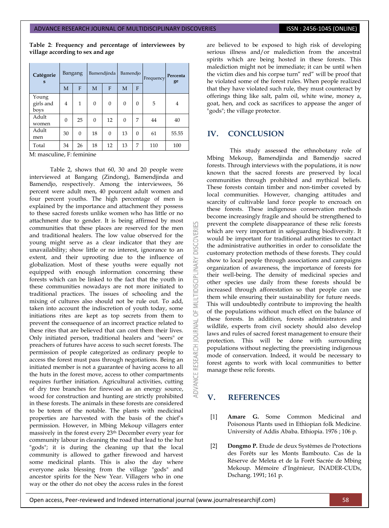**Table 2**: **Frequency and percentage of interviewees by village according to sex and age**

| Catégorie<br>S             | Bangang  |          | Bamendjinda |          | Bamendjo |          | Frequency | Percenta<br>ge |
|----------------------------|----------|----------|-------------|----------|----------|----------|-----------|----------------|
|                            | M        | F        | M           | F        | M        | F        |           |                |
| Young<br>girls and<br>boys | 4        | 1        | $\Omega$    | $\Omega$ | $\theta$ | $\Omega$ | 5         | 4              |
| Adult<br>women             | $\Omega$ | 25       | $\Omega$    | 12       | $\Omega$ | 7        | 44        | 40             |
| Adult<br>men               | 30       | $\Omega$ | 18          | $\Omega$ | 13       | $\Omega$ | 61        | 55.55          |
| Total                      | 34       | 26       | 18          | 12       | 13       | 7        | 110       | 100            |
| M: masculine, F: feminine  |          |          |             |          |          |          |           |                |

Table 2, shows that 60, 30 and 20 people were interviewed at Bangang (Zindong), Bamendjinda and Bamendjo, respectively. Among the interviewees, 56 percent were adult men, 40 pourcent adult women and four percent youths. The high percentage of men is explained by the importance and attachment they possess to these sacred forests unlike women who has little or no attachment due to gender. It is being affirmed by most communities that these places are reserved for the men and traditional healers. The low value observed for the young might serve as a clear indicator that they are unavailability; show little or no interest, ignorance to an extent, and their uprooting due to the influence of globalization. Most of these youths were equally not equipped with enough information concerning these forests which can be linked to the fact that the youth in these communities nowadays are not more initiated to traditional practices. The issues of schooling and the mixing of cultures also should not be rule out. To add, taken into account the indiscretion of youth today, some initiations rites are kept as top secrets from them to prevent the consequence of an incorrect practice related to these rites that are believed that can cost them their lives. Only initiated person, traditional healers and "seers" or preachers of futures have access to such secret forests. The permission of people categorized as ordinary people to access the forest must pass through negotiations. Being an initiated member is not a guarantee of having access to all the huts in the forest move, access to other compartments requires further initiation. Agricultural activities, cutting of dry tree branches for firewood as an energy source, wood for construction and hunting are strictly prohibited in these forests. The animals in these forests are considered to be totem of the notable. The plants with medicinal properties are harvested with the basis of the chief's permission. However, in Mbing Mekoup villagers enter massively in the forest every 23th December every year for community labour in cleaning the road that lead to the hut "gods"; it is during the cleaning up that the local community is allowed to gather firewood and harvest some medicinal plants. This is also the day where everyone asks blessing from the village "gods" and ancestor spirits for the New Year. Villagers who in one way or the other do not obey the access rules in the forest

53 **DISCOVER** MULTIDISCIPLINARY 5 **JRNAL** jo ADVANCE RESEARCH

are believed to be exposed to high risk of developing serious illness and/or malediction from the ancestral spirits which are being hosted in these forests. This malediction might not be immediate; it can be until when the victim dies and his corpse turn" red" will be proof that he violated some of the forest rules. When people realized that they have violated such rule, they must counteract by offerings thing like salt, palm oil, white wine, money a, goat, hen, and cock as sacrifices to appease the anger of "gods"; the village protector.

# **IV. CONCLUSION**

This study assessed the ethnobotany role of Mbing Mekoup, Bamendjinda and Bamendjo sacred forests. Through interviews with the populations, it is now known that the sacred forests are preserved by local communities through prohibited and mythical beliefs. These forests contain timber and non-timber coveted by local communities. However, changing attitudes and scarcity of cultivable land force people to encroach on these forests. These indigenous conservation methods become increasingly fragile and should be strengthened to prevent the complete disappearance of these relic forests which are very important in safeguarding biodiversity. It would be important for traditional authorities to contact the administrative authorities in order to consolidate the customary protection methods of these forests. They could show to local people through associations and campaigns organization of awareness, the importance of forests for their well-being. The density of medicinal species and other species use daily from these forests should be increased through afforestation so that people can use them while ensuring their sustainability for future needs. This will undoubtedly contribute to improving the health of the populations without much effect on the balance of these forests. In addition, forests administrators and wildlife, experts from civil society should also develop laws and rules of sacred forest management to ensure their protection. This will be done with surrounding populations without neglecting the preexisting indigenous mode of conservation. Indeed, it would be necessary to forest agents to work with local communities to better manage these relic forests.

# **V. REFERENCES**

- <span id="page-4-1"></span>[1] **Amare G.** Some Common Medicinal and Poisonous Plants used in Ethiopian folk Medicine*.* University of Addis Ababa. Ethiopia. 1976 ; 106 p.
- <span id="page-4-0"></span>[2] **Dongmo P.** Etude de deux Systèmes de Protections des Forêts sur les Monts Bambouto. Cas de la Réserve de Meleta et de la Forêt Sacrée de Mbing Mekoup. Mémoire d'Ingénieur, INADER-CUDs, Dschang. 1991; 161 p.